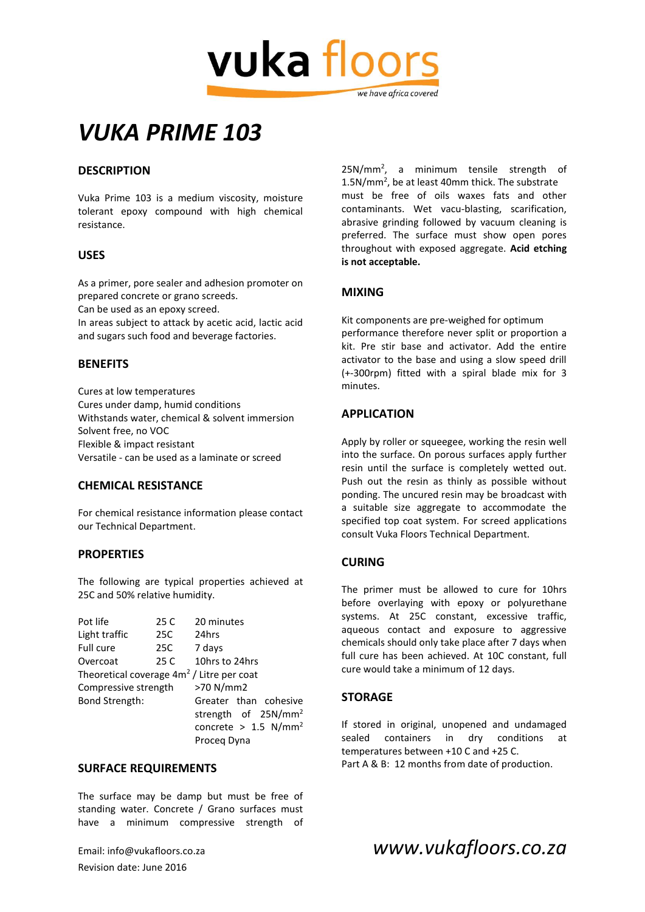

# *VUKA PRIME 103*

#### **DESCRIPTION**

Vuka Prime 103 is a medium viscosity, moisture tolerant epoxy compound with high chemical resistance.

#### **USES**

As a primer, pore sealer and adhesion promoter on prepared concrete or grano screeds.

Can be used as an epoxy screed.

In areas subject to attack by acetic acid, lactic acid and sugars such food and beverage factories.

#### **BENEFITS**

Cures at low temperatures Cures under damp, humid conditions Withstands water, chemical & solvent immersion Solvent free, no VOC Flexible & impact resistant Versatile - can be used as a laminate or screed

#### **CHEMICAL RESISTANCE**

For chemical resistance information please contact our Technical Department.

#### **PROPERTIES**

The following are typical properties achieved at 25C and 50% relative humidity.

| Pot life                                    | 25 C | 20 minutes                         |
|---------------------------------------------|------|------------------------------------|
| Light traffic                               | 25C  | 24hrs                              |
| Full cure                                   | 25C  | 7 days                             |
| Overcoat                                    | 25 C | 10hrs to 24hrs                     |
| Theoretical coverage $4m2$ / Litre per coat |      |                                    |
| Compressive strength                        |      | >70 N/mm2                          |
| Bond Strength:                              |      | Greater than cohesive              |
|                                             |      | strength of 25N/mm <sup>2</sup>    |
|                                             |      | concrete > $1.5$ N/mm <sup>2</sup> |
|                                             |      | Proceg Dyna                        |

#### **SURFACE REQUIREMENTS**

The surface may be damp but must be free of standing water. Concrete / Grano surfaces must have a minimum compressive strength of

Revision date: June 2016

25N/mm<sup>2</sup> , a minimum tensile strength of 1.5N/mm<sup>2</sup> , be at least 40mm thick. The substrate must be free of oils waxes fats and other contaminants. Wet vacu-blasting, scarification, abrasive grinding followed by vacuum cleaning is preferred. The surface must show open pores throughout with exposed aggregate. **Acid etching is not acceptable.**

#### **MIXING**

Kit components are pre-weighed for optimum performance therefore never split or proportion a kit. Pre stir base and activator. Add the entire activator to the base and using a slow speed drill (+-300rpm) fitted with a spiral blade mix for 3 minutes.

#### **APPLICATION**

Apply by roller or squeegee, working the resin well into the surface. On porous surfaces apply further resin until the surface is completely wetted out. Push out the resin as thinly as possible without ponding. The uncured resin may be broadcast with a suitable size aggregate to accommodate the specified top coat system. For screed applications consult Vuka Floors Technical Department.

#### **CURING**

The primer must be allowed to cure for 10hrs before overlaying with epoxy or polyurethane systems. At 25C constant, excessive traffic, aqueous contact and exposure to aggressive chemicals should only take place after 7 days when full cure has been achieved. At 10C constant, full cure would take a minimum of 12 days.

#### **STORAGE**

If stored in original, unopened and undamaged sealed containers in dry conditions at temperatures between +10 C and +25 C. Part A & B: 12 months from date of production.

### Email: info@vukafloors.co.za *www.vukafloors.co.za*